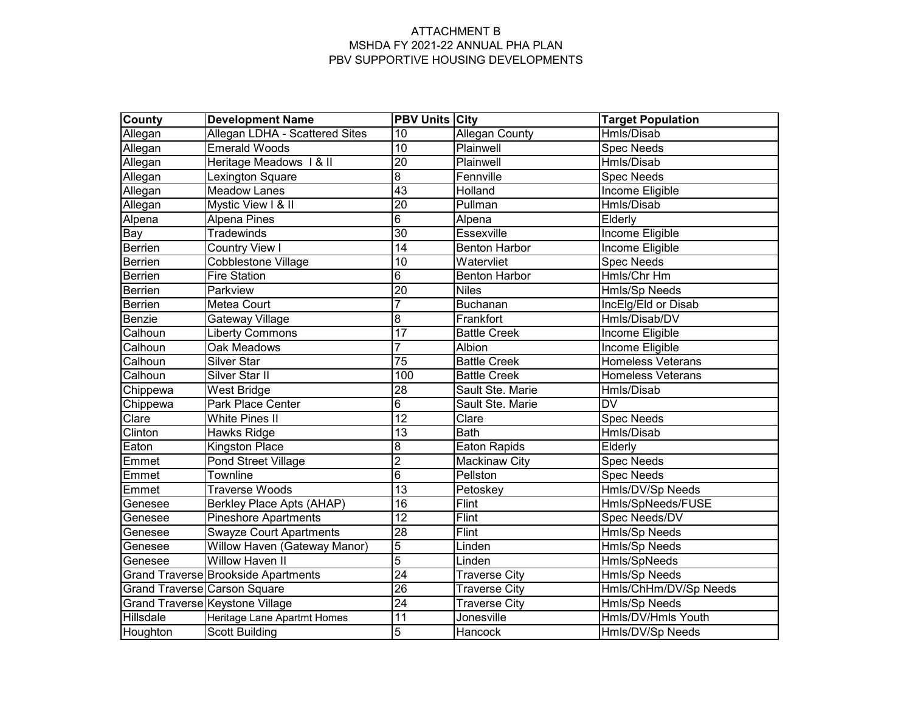| <b>County</b>                | <b>Development Name</b>             | <b>PBV Units City</b> |                       | <b>Target Population</b> |
|------------------------------|-------------------------------------|-----------------------|-----------------------|--------------------------|
| Allegan                      | Allegan LDHA - Scattered Sites      | 10                    | <b>Allegan County</b> | Hmls/Disab               |
| Allegan                      | <b>Emerald Woods</b>                | 10                    | Plainwell             | <b>Spec Needs</b>        |
| Allegan                      | Heritage Meadows 1 & II             | $\overline{20}$       | Plainwell             | Hmls/Disab               |
| Allegan                      | Lexington Square                    | $\overline{8}$        | Fennville             | <b>Spec Needs</b>        |
| Allegan                      | <b>Meadow Lanes</b>                 | $\overline{43}$       | Holland               | Income Eligible          |
| Allegan                      | Mystic View I & II                  | $\overline{20}$       | Pullman               | Hmls/Disab               |
| Alpena                       | <b>Alpena Pines</b>                 | $6\overline{6}$       | Alpena                | Elderly                  |
| Bay                          | <b>Tradewinds</b>                   | $\overline{30}$       | Essexville            | <b>Income Eligible</b>   |
| Berrien                      | <b>Country View I</b>               | 14                    | <b>Benton Harbor</b>  | Income Eligible          |
| Berrien                      | <b>Cobblestone Village</b>          | 10                    | Watervliet            | <b>Spec Needs</b>        |
| Berrien                      | <b>Fire Station</b>                 | $\overline{6}$        | <b>Benton Harbor</b>  | Hmls/Chr Hm              |
| Berrien                      | Parkview                            | $\overline{20}$       | <b>Niles</b>          | <b>Hmls/Sp Needs</b>     |
| Berrien                      | <b>Metea Court</b>                  | 7                     | <b>Buchanan</b>       | IncElg/Eld or Disab      |
| Benzie                       | <b>Gateway Village</b>              | $\overline{8}$        | Frankfort             | Hmls/Disab/DV            |
| Calhoun                      | <b>Liberty Commons</b>              | $\overline{17}$       | <b>Battle Creek</b>   | Income Eligible          |
| Calhoun                      | <b>Oak Meadows</b>                  |                       | <b>Albion</b>         | Income Eligible          |
| Calhoun                      | <b>Silver Star</b>                  | $\overline{75}$       | <b>Battle Creek</b>   | <b>Homeless Veterans</b> |
| Calhoun                      | Silver Star II                      | 100                   | <b>Battle Creek</b>   | <b>Homeless Veterans</b> |
| Chippewa                     | West Bridge                         | $\overline{28}$       | Sault Ste. Marie      | Hmls/Disab               |
| Chippewa                     | Park Place Center                   | $\overline{6}$        | Sault Ste. Marie      | <b>DV</b>                |
| Clare                        | <b>White Pines II</b>               | $\overline{12}$       | Clare                 | <b>Spec Needs</b>        |
| Clinton                      | Hawks Ridge                         | $\overline{13}$       | <b>Bath</b>           | Hmls/Disab               |
| Eaton                        | Kingston Place                      | $\overline{8}$        | <b>Eaton Rapids</b>   | Elderly                  |
| Emmet                        | Pond Street Village                 | $\overline{2}$        | <b>Mackinaw City</b>  | <b>Spec Needs</b>        |
| Emmet                        | Townline                            | $\overline{6}$        | Pellston              | <b>Spec Needs</b>        |
| Emmet                        | <b>Traverse Woods</b>               | $\overline{13}$       | Petoskey              | Hmls/DV/Sp Needs         |
| Genesee                      | Berkley Place Apts (AHAP)           | $\overline{16}$       | Flint                 | Hmls/SpNeeds/FUSE        |
| Genesee                      | Pineshore Apartments                | $\overline{12}$       | Flint                 | Spec Needs/DV            |
| Genesee                      | <b>Swayze Court Apartments</b>      | 28                    | <b>Flint</b>          | <b>Hmls/Sp Needs</b>     |
| Genesee                      | Willow Haven (Gateway Manor)        | $\overline{5}$        | Linden                | Hmls/Sp Needs            |
| Genesee                      | <b>Willow Haven II</b>              | $\overline{5}$        | Linden                | Hmls/SpNeeds             |
|                              | Grand Traverse Brookside Apartments | $\overline{24}$       | <b>Traverse City</b>  | Hmls/Sp Needs            |
| Grand Traverse Carson Square |                                     | $\overline{26}$       | <b>Traverse City</b>  | Hmls/ChHm/DV/Sp Needs    |
|                              | Grand Traverse Keystone Village     | $\overline{24}$       | <b>Traverse City</b>  | Hmls/Sp Needs            |
| Hillsdale                    | Heritage Lane Apartmt Homes         | $\overline{11}$       | Jonesville            | Hmls/DV/Hmls Youth       |
| Houghton                     | <b>Scott Building</b>               | $\overline{5}$        | Hancock               | Hmls/DV/Sp Needs         |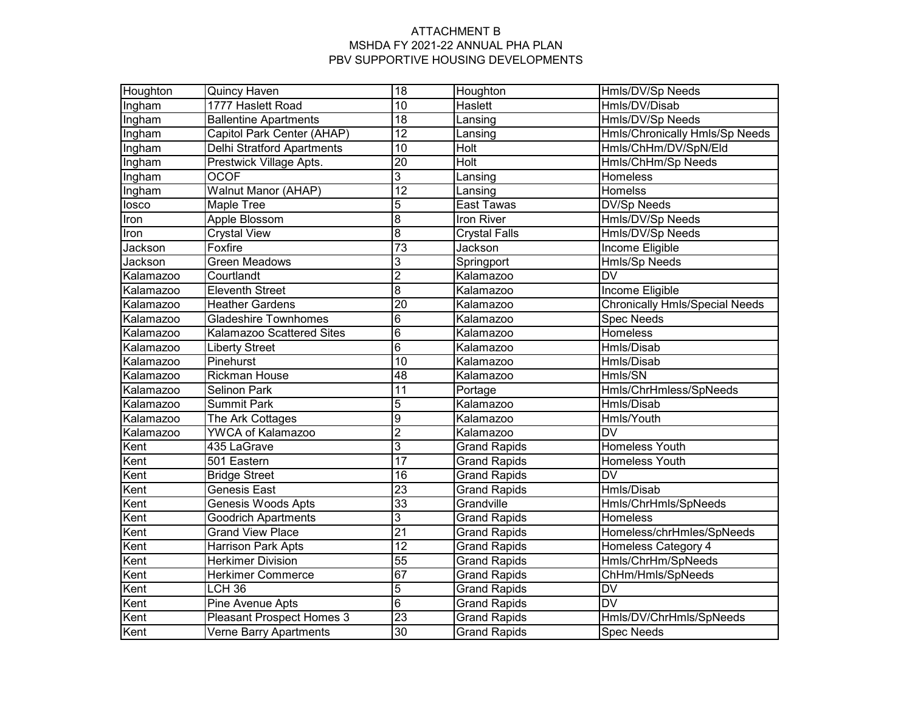| Houghton  | Quincy Haven                     | $\overline{18}$ | Houghton             | Hmls/DV/Sp Needs                      |  |
|-----------|----------------------------------|-----------------|----------------------|---------------------------------------|--|
| Ingham    | 1777 Haslett Road                | $\overline{10}$ | Haslett              | Hmls/DV/Disab                         |  |
| Ingham    | <b>Ballentine Apartments</b>     | $\overline{18}$ | Lansing              | Hmls/DV/Sp Needs                      |  |
| Ingham    | Capitol Park Center (AHAP)       | $\overline{12}$ | Lansing              | Hmls/Chronically Hmls/Sp Needs        |  |
| Ingham    | Delhi Stratford Apartments       | $\overline{10}$ | <b>Holt</b>          | Hmls/ChHm/DV/SpN/Eld                  |  |
| Ingham    | Prestwick Village Apts.          | $\overline{20}$ | <b>Holt</b>          | Hmls/ChHm/Sp Needs                    |  |
| Ingham    | <b>OCOF</b>                      | 3               | Lansing              | <b>Homeless</b>                       |  |
| Ingham    | <b>Walnut Manor (AHAP)</b>       | $\overline{12}$ | Lansing              | Homelss                               |  |
| losco     | <b>Maple Tree</b>                | 5               | East Tawas           | <b>DV/Sp Needs</b>                    |  |
| Iron      | Apple Blossom                    | $\overline{8}$  | Iron River           | Hmls/DV/Sp Needs                      |  |
| Iron      | <b>Crystal View</b>              | $\overline{8}$  | <b>Crystal Falls</b> | Hmls/DV/Sp Needs                      |  |
| Jackson   | Foxfire                          | 73              | Jackson              | Income Eligible                       |  |
| Jackson   | <b>Green Meadows</b>             | 3               | Springport           | <b>Hmls/Sp Needs</b>                  |  |
| Kalamazoo | Courtlandt                       | $\overline{2}$  | Kalamazoo            | $\overline{\mathsf{D}\mathsf{V}}$     |  |
| Kalamazoo | <b>Eleventh Street</b>           | $\overline{8}$  | Kalamazoo            | <b>Income Eligible</b>                |  |
| Kalamazoo | <b>Heather Gardens</b>           | 20              | Kalamazoo            | <b>Chronically Hmls/Special Needs</b> |  |
| Kalamazoo | <b>Gladeshire Townhomes</b>      | $\overline{6}$  | Kalamazoo            | <b>Spec Needs</b>                     |  |
| Kalamazoo | Kalamazoo Scattered Sites        | $\overline{6}$  | Kalamazoo            | Homeless                              |  |
| Kalamazoo | <b>Liberty Street</b>            | $\overline{6}$  | Kalamazoo            | Hmls/Disab                            |  |
| Kalamazoo | Pinehurst                        | $\overline{10}$ | Kalamazoo            | Hmls/Disab                            |  |
| Kalamazoo | <b>Rickman House</b>             | 48              | Kalamazoo            | Hmls/SN                               |  |
| Kalamazoo | <b>Selinon Park</b>              | $\overline{11}$ | Portage              | Hmls/ChrHmless/SpNeeds                |  |
| Kalamazoo | <b>Summit Park</b>               | 5               | Kalamazoo            | Hmls/Disab                            |  |
| Kalamazoo | The Ark Cottages                 | $\overline{9}$  | Kalamazoo            | Hmls/Youth                            |  |
| Kalamazoo | YWCA of Kalamazoo                | $\overline{2}$  | Kalamazoo            | <b>DV</b>                             |  |
| Kent      | 435 LaGrave                      | 3               | <b>Grand Rapids</b>  | Homeless Youth                        |  |
| Kent      | 501 Eastern                      | 17              | <b>Grand Rapids</b>  | Homeless Youth                        |  |
| Kent      | <b>Bridge Street</b>             | 16              | <b>Grand Rapids</b>  | $\overline{\mathsf{D}\mathsf{V}}$     |  |
| Kent      | Genesis East                     | 23              | <b>Grand Rapids</b>  | Hmls/Disab                            |  |
| Kent      | <b>Genesis Woods Apts</b>        | 33              | Grandville           | Hmls/ChrHmls/SpNeeds                  |  |
| Kent      | <b>Goodrich Apartments</b>       | 3               | <b>Grand Rapids</b>  | Homeless                              |  |
| Kent      | <b>Grand View Place</b>          | 21              | <b>Grand Rapids</b>  | Homeless/chrHmles/SpNeeds             |  |
| Kent      | <b>Harrison Park Apts</b>        | $\overline{12}$ | <b>Grand Rapids</b>  | Homeless Category 4                   |  |
| Kent      | <b>Herkimer Division</b>         | $\overline{55}$ | <b>Grand Rapids</b>  | Hmls/ChrHm/SpNeeds                    |  |
| Kent      | <b>Herkimer Commerce</b>         | 67              | <b>Grand Rapids</b>  | ChHm/Hmls/SpNeeds                     |  |
| Kent      | LCH <sub>36</sub>                | $\overline{5}$  | <b>Grand Rapids</b>  | DV                                    |  |
| Kent      | Pine Avenue Apts                 | $6\overline{6}$ | <b>Grand Rapids</b>  | <b>DV</b>                             |  |
| Kent      | <b>Pleasant Prospect Homes 3</b> | $\overline{23}$ | <b>Grand Rapids</b>  | Hmls/DV/ChrHmls/SpNeeds               |  |
| Kent      | <b>Verne Barry Apartments</b>    | 30              | <b>Grand Rapids</b>  | <b>Spec Needs</b>                     |  |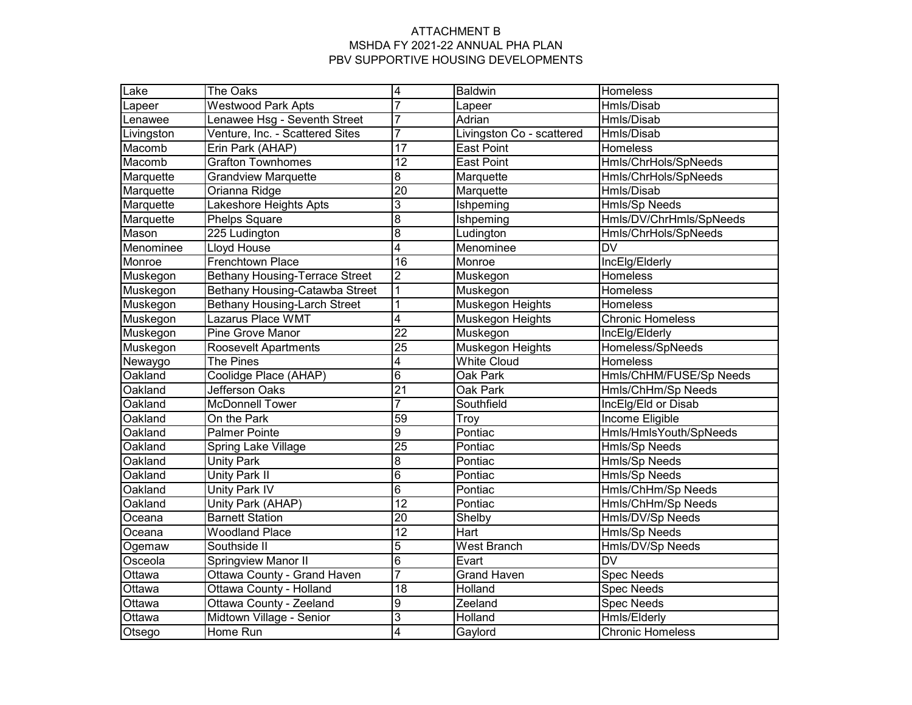| Lake       | The Oaks                              | 4               | <b>Baldwin</b>            | Homeless                          |
|------------|---------------------------------------|-----------------|---------------------------|-----------------------------------|
| Lapeer     | <b>Westwood Park Apts</b>             | 7               | Lapeer                    | Hmls/Disab                        |
| Lenawee    | Lenawee Hsg - Seventh Street          | $\overline{7}$  | Adrian                    | Hmls/Disab                        |
| Livingston | Venture, Inc. - Scattered Sites       | 7               | Livingston Co - scattered | Hmls/Disab                        |
| Macomb     | Erin Park (AHAP)                      | 17              | <b>East Point</b>         | Homeless                          |
| Macomb     | <b>Grafton Townhomes</b>              | 12              | <b>East Point</b>         | Hmls/ChrHols/SpNeeds              |
| Marquette  | <b>Grandview Marquette</b>            | 8               | Marquette                 | Hmls/ChrHols/SpNeeds              |
| Marquette  | Orianna Ridge                         | $\overline{20}$ | Marquette                 | Hmls/Disab                        |
| Marquette  | Lakeshore Heights Apts                | 3               | Ishpeming                 | Hmls/Sp Needs                     |
| Marquette  | Phelps Square                         | $\overline{8}$  | Ishpeming                 | Hmls/DV/ChrHmls/SpNeeds           |
| Mason      | 225 Ludington                         | $\overline{8}$  | Ludington                 | Hmls/ChrHols/SpNeeds              |
| Menominee  | Lloyd House                           | 4               | Menominee                 | $\overline{\mathsf{D}\mathsf{V}}$ |
| Monroe     | <b>Frenchtown Place</b>               | 16              | Monroe                    | IncElg/Elderly                    |
| Muskegon   | <b>Bethany Housing-Terrace Street</b> | $\overline{2}$  | Muskegon                  | Homeless                          |
| Muskegon   | Bethany Housing-Catawba Street        | 1               | Muskegon                  | Homeless                          |
| Muskegon   | <b>Bethany Housing-Larch Street</b>   | 1               | Muskegon Heights          | Homeless                          |
| Muskegon   | Lazarus Place WMT                     | 4               | Muskegon Heights          | <b>Chronic Homeless</b>           |
| Muskegon   | <b>Pine Grove Manor</b>               | $\overline{22}$ | Muskegon                  | IncElg/Elderly                    |
| Muskegon   | <b>Roosevelt Apartments</b>           | $\overline{25}$ | <b>Muskegon Heights</b>   | Homeless/SpNeeds                  |
| Newaygo    | The Pines                             | 4               | <b>White Cloud</b>        | Homeless                          |
| Oakland    | Coolidge Place (AHAP)                 | $\overline{6}$  | Oak Park                  | Hmls/ChHM/FUSE/Sp Needs           |
| Oakland    | <b>Jefferson Oaks</b>                 | $\overline{21}$ | Oak Park                  | Hmls/ChHm/Sp Needs                |
| Oakland    | <b>McDonnell Tower</b>                | $\overline{7}$  | Southfield                | IncElg/Eld or Disab               |
| Oakland    | On the Park                           | 59              | Troy                      | Income Eligible                   |
| Oakland    | <b>Palmer Pointe</b>                  | $\overline{9}$  | Pontiac                   | Hmls/HmlsYouth/SpNeeds            |
| Oakland    | Spring Lake Village                   | $\overline{25}$ | Pontiac                   | Hmls/Sp Needs                     |
| Oakland    | <b>Unity Park</b>                     | 8               | Pontiac                   | Hmls/Sp Needs                     |
| Oakland    | Unity Park II                         | $\overline{6}$  | Pontiac                   | Hmls/Sp Needs                     |
| Oakland    | Unity Park IV                         | $\overline{6}$  | Pontiac                   | Hmls/ChHm/Sp Needs                |
| Oakland    | Unity Park (AHAP)                     | $\overline{12}$ | Pontiac                   | Hmls/ChHm/Sp Needs                |
| Oceana     | <b>Barnett Station</b>                | $\overline{20}$ | Shelby                    | Hmls/DV/Sp Needs                  |
| Oceana     | <b>Woodland Place</b>                 | $\overline{12}$ | Hart                      | Hmls/Sp Needs                     |
| Ogemaw     | Southside II                          | 5               | West Branch               | Hmls/DV/Sp Needs                  |
| Osceola    | Springview Manor II                   | $\overline{6}$  | Evart                     | <b>DV</b>                         |
| Ottawa     | Ottawa County - Grand Haven           | 7               | <b>Grand Haven</b>        | <b>Spec Needs</b>                 |
| Ottawa     | Ottawa County - Holland               | 18              | Holland                   | <b>Spec Needs</b>                 |
| Ottawa     | Ottawa County - Zeeland               | 9               | Zeeland                   | <b>Spec Needs</b>                 |
| Ottawa     | Midtown Village - Senior              | 3               | Holland                   | Hmls/Elderly                      |
| Otsego     | Home Run                              | $\overline{4}$  | Gaylord                   | <b>Chronic Homeless</b>           |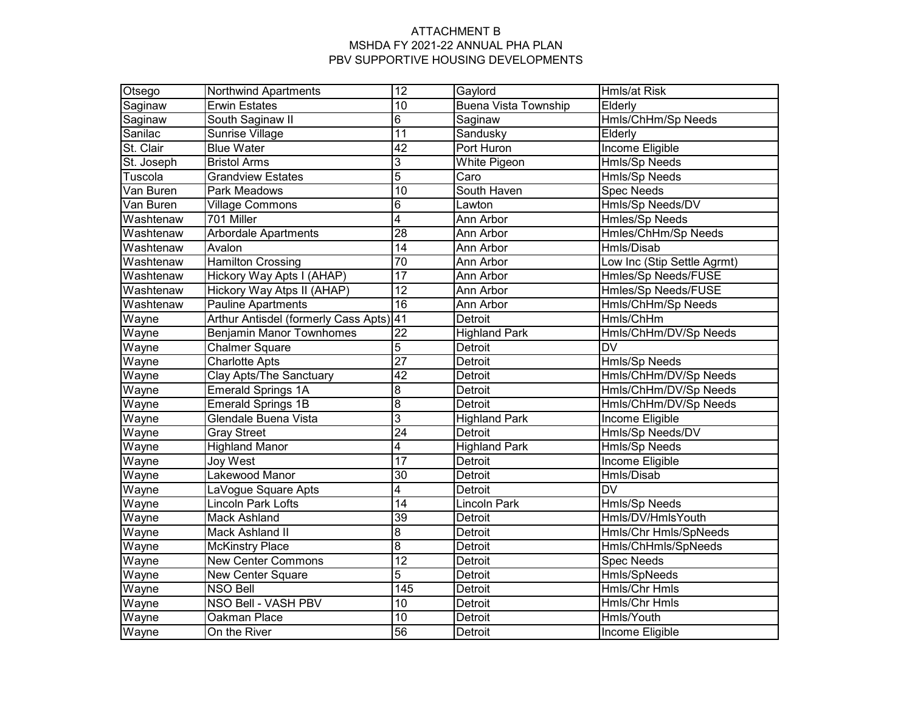| Otsego                 | <b>Northwind Apartments</b>             | $\overline{12}$ | Gaylord                     | Hmls/at Risk                      |
|------------------------|-----------------------------------------|-----------------|-----------------------------|-----------------------------------|
| Saginaw                | <b>Erwin Estates</b>                    | 10              | <b>Buena Vista Township</b> | Elderly                           |
| Saginaw                | South Saginaw II                        | 6               | Saginaw                     | Hmls/ChHm/Sp Needs                |
| Sanilac                | Sunrise Village                         | $\overline{11}$ | Sandusky                    | Elderly                           |
| St. Clair              | <b>Blue Water</b>                       | 42              | Port Huron                  | <b>Income Eligible</b>            |
| St. Joseph             | <b>Bristol Arms</b>                     | $\overline{3}$  | White Pigeon                | <b>Hmls/Sp Needs</b>              |
| Tuscola                | <b>Grandview Estates</b>                | $\overline{5}$  | Caro                        | Hmls/Sp Needs                     |
| $\overline{Van}$ Buren | Park Meadows                            | $\overline{10}$ | South Haven                 | <b>Spec Needs</b>                 |
| Van Buren              | Village Commons                         | 6               | Lawton                      | Hmls/Sp Needs/DV                  |
| Washtenaw              | 701 Miller                              | 4               | Ann Arbor                   | Hmles/Sp Needs                    |
| Washtenaw              | <b>Arbordale Apartments</b>             | 28              | Ann Arbor                   | Hmles/ChHm/Sp Needs               |
| Washtenaw              | Avalon                                  | 14              | Ann Arbor                   | Hmls/Disab                        |
| Washtenaw              | <b>Hamilton Crossing</b>                | $\overline{70}$ | Ann Arbor                   | Low Inc (Stip Settle Agrmt)       |
| Washtenaw              | Hickory Way Apts I (AHAP)               | 17              | Ann Arbor                   | <b>Hmles/Sp Needs/FUSE</b>        |
| Washtenaw              | Hickory Way Atps II (AHAP)              | $\overline{12}$ | Ann Arbor                   | <b>Hmles/Sp Needs/FUSE</b>        |
| Washtenaw              | <b>Pauline Apartments</b>               | 16              | <b>Ann Arbor</b>            | Hmls/ChHm/Sp Needs                |
| Wayne                  | Arthur Antisdel (formerly Cass Apts) 41 |                 | Detroit                     | Hmls/ChHm                         |
| Wayne                  | <b>Benjamin Manor Townhomes</b>         | $\overline{22}$ | <b>Highland Park</b>        | Hmls/ChHm/DV/Sp Needs             |
| Wayne                  | <b>Chalmer Square</b>                   | 5               | Detroit                     | <b>DV</b>                         |
| Wayne                  | <b>Charlotte Apts</b>                   | $\overline{27}$ | Detroit                     | <b>Hmls/Sp Needs</b>              |
| Wayne                  | <b>Clay Apts/The Sanctuary</b>          | 42              | Detroit                     | Hmls/ChHm/DV/Sp Needs             |
| Wayne                  | <b>Emerald Springs 1A</b>               | 8               | Detroit                     | Hmls/ChHm/DV/Sp Needs             |
| Wayne                  | <b>Emerald Springs 1B</b>               | $\overline{8}$  | Detroit                     | Hmls/ChHm/DV/Sp Needs             |
| Wayne                  | Glendale Buena Vista                    | $\overline{3}$  | <b>Highland Park</b>        | Income Eligible                   |
| Wayne                  | <b>Gray Street</b>                      | $\overline{24}$ | Detroit                     | Hmls/Sp Needs/DV                  |
| Wayne                  | <b>Highland Manor</b>                   | 4               | <b>Highland Park</b>        | Hmls/Sp Needs                     |
| Wayne                  | Joy West                                | 17              | Detroit                     | Income Eligible                   |
| Wayne                  | Lakewood Manor                          | 30              | Detroit                     | Hmls/Disab                        |
| Wayne                  | LaVogue Square Apts                     | 4               | <b>Detroit</b>              | $\overline{\mathsf{D}\mathsf{V}}$ |
| Wayne                  | Lincoln Park Lofts                      | $\overline{14}$ | Lincoln Park                | Hmls/Sp Needs                     |
| Wayne                  | <b>Mack Ashland</b>                     | 39              | Detroit                     | Hmls/DV/HmlsYouth                 |
| Wayne                  | Mack Ashland II                         | $\bf8$          | Detroit                     | Hmls/Chr Hmls/SpNeeds             |
| Wayne                  | <b>McKinstry Place</b>                  | $\overline{8}$  | Detroit                     | Hmls/ChHmls/SpNeeds               |
| Wayne                  | <b>New Center Commons</b>               | 12              | Detroit                     | <b>Spec Needs</b>                 |
| Wayne                  | New Center Square                       | 5               | Detroit                     | Hmls/SpNeeds                      |
| Wayne                  | <b>NSO Bell</b>                         | 145             | Detroit                     | Hmls/Chr Hmls                     |
| Wayne                  | NSO Bell - VASH PBV                     | $\overline{10}$ | Detroit                     | <b>Hmls/Chr Hmls</b>              |
| Wayne                  | Oakman Place                            | $\overline{10}$ | Detroit                     | Hmls/Youth                        |
| Wayne                  | On the River                            | 56              | Detroit                     | Income Eligible                   |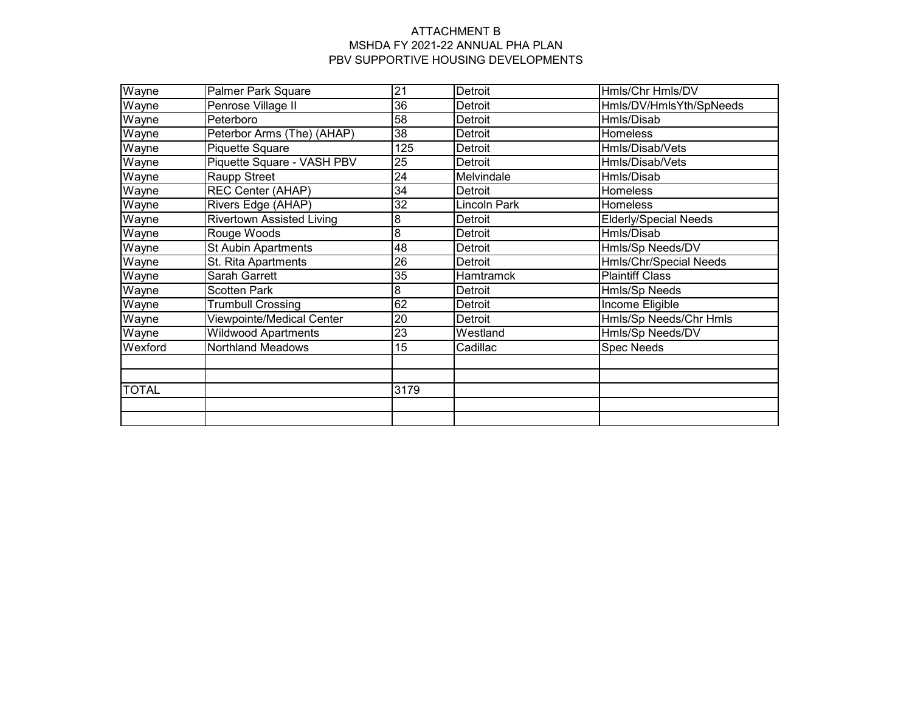| Wayne        | Palmer Park Square               | 21              | Detroit             | Hmls/Chr Hmls/DV             |
|--------------|----------------------------------|-----------------|---------------------|------------------------------|
| Wayne        | Penrose Village II               | 36              | Detroit             | Hmls/DV/HmlsYth/SpNeeds      |
| Wayne        | Peterboro                        | 58              | Detroit             | Hmls/Disab                   |
| Wayne        | Peterbor Arms (The) (AHAP)       | 38              | Detroit             | Homeless                     |
| Wayne        | Piquette Square                  | 125             | Detroit             | Hmls/Disab/Vets              |
| Wayne        | Piquette Square - VASH PBV       | 25              | Detroit             | Hmls/Disab/Vets              |
| Wayne        | Raupp Street                     | 24              | Melvindale          | Hmls/Disab                   |
| Wayne        | <b>REC Center (AHAP)</b>         | 34              | Detroit             | Homeless                     |
| Wayne        | Rivers Edge (AHAP)               | 32              | <b>Lincoln Park</b> | Homeless                     |
| Wayne        | <b>Rivertown Assisted Living</b> | 8               | Detroit             | <b>Elderly/Special Needs</b> |
| Wayne        | Rouge Woods                      | 8               | Detroit             | Hmls/Disab                   |
| Wayne        | <b>St Aubin Apartments</b>       | 48              | Detroit             | Hmls/Sp Needs/DV             |
| Wayne        | St. Rita Apartments              | $\overline{26}$ | Detroit             | Hmls/Chr/Special Needs       |
| Wayne        | <b>Sarah Garrett</b>             | $\overline{35}$ | <b>Hamtramck</b>    | <b>Plaintiff Class</b>       |
| Wayne        | <b>Scotten Park</b>              | 8               | Detroit             | Hmls/Sp Needs                |
| Wayne        | <b>Trumbull Crossing</b>         | 62              | Detroit             | <b>Income Eligible</b>       |
| Wayne        | Viewpointe/Medical Center        | 20              | Detroit             | Hmls/Sp Needs/Chr Hmls       |
| Wayne        | <b>Wildwood Apartments</b>       | 23              | Westland            | Hmls/Sp Needs/DV             |
| Wexford      | <b>Northland Meadows</b>         | 15              | Cadillac            | <b>Spec Needs</b>            |
|              |                                  |                 |                     |                              |
|              |                                  |                 |                     |                              |
| <b>TOTAL</b> |                                  | 3179            |                     |                              |
|              |                                  |                 |                     |                              |
|              |                                  |                 |                     |                              |
|              |                                  |                 |                     |                              |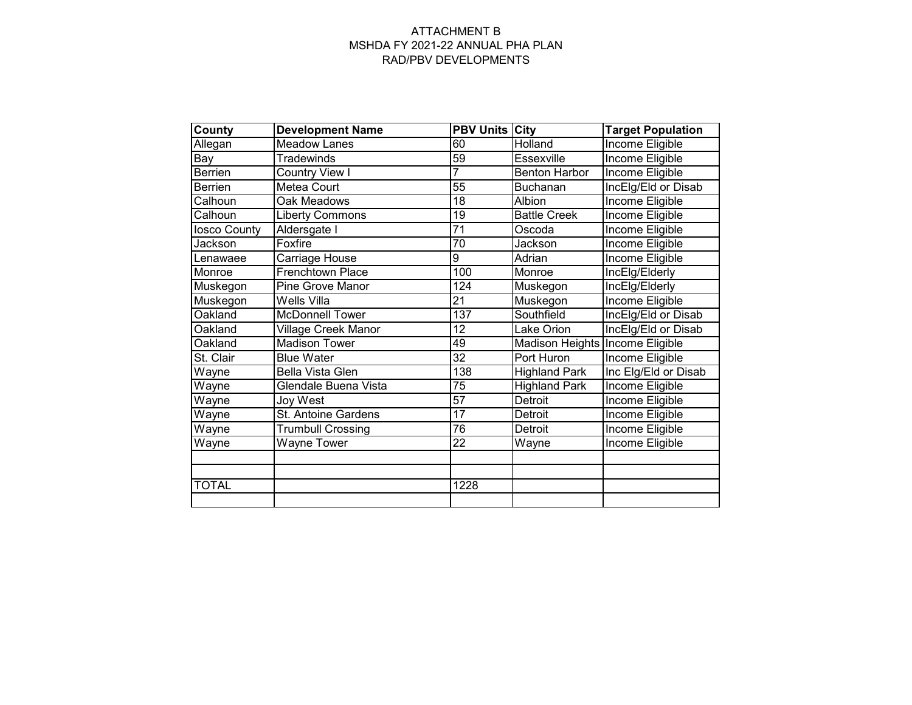#### ATTACHMENT B MSHDA FY 2021-22 ANNUAL PHA PLAN RAD/PBV DEVELOPMENTS

| <b>County</b> | <b>Development Name</b>  | <b>PBV Units City</b> |                                 | <b>Target Population</b> |
|---------------|--------------------------|-----------------------|---------------------------------|--------------------------|
| Allegan       | <b>Meadow Lanes</b>      | 60                    | Holland                         | Income Eligible          |
| Bay           | <b>Tradewinds</b>        | 59                    | Essexville                      | Income Eligible          |
| Berrien       | Country View I           | 7                     | <b>Benton Harbor</b>            | Income Eligible          |
| Berrien       | Metea Court              | 55                    | <b>Buchanan</b>                 | IncElg/Eld or Disab      |
| Calhoun       | Oak Meadows              | 18                    | Albion                          | Income Eligible          |
| Calhoun       | <b>Liberty Commons</b>   | 19                    | <b>Battle Creek</b>             | <b>Income Eligible</b>   |
| losco County  | Aldersgate I             | 71                    | Oscoda                          | Income Eligible          |
| Jackson       | Foxfire                  | 70                    | Jackson                         | <b>Income Eligible</b>   |
| Lenawaee      | Carriage House           | 9                     | Adrian                          | <b>Income Eligible</b>   |
| Monroe        | Frenchtown Place         | 100                   | Monroe                          | IncElg/Elderly           |
| Muskegon      | <b>Pine Grove Manor</b>  | 124                   | Muskegon                        | IncElg/Elderly           |
| Muskegon      | Wells Villa              | $\overline{21}$       | Muskegon                        | <b>Income Eligible</b>   |
| Oakland       | <b>McDonnell Tower</b>   | 137                   | Southfield                      | IncElg/Eld or Disab      |
| Oakland       | Village Creek Manor      | 12                    | Lake Orion                      | IncElg/Eld or Disab      |
| Oakland       | <b>Madison Tower</b>     | 49                    | Madison Heights Income Eligible |                          |
| St. Clair     | <b>Blue Water</b>        | $\overline{32}$       | Port Huron                      | Income Eligible          |
| Wayne         | <b>Bella Vista Glen</b>  | 138                   | <b>Highland Park</b>            | Inc Elg/Eld or Disab     |
| Wayne         | Glendale Buena Vista     | 75                    | <b>Highland Park</b>            | Income Eligible          |
| Wayne         | Joy West                 | 57                    | Detroit                         | Income Eligible          |
| Wayne         | St. Antoine Gardens      | $\overline{17}$       | Detroit                         | Income Eligible          |
| Wayne         | <b>Trumbull Crossing</b> | 76                    | Detroit                         | Income Eligible          |
| Wayne         | <b>Wayne Tower</b>       | 22                    | Wayne                           | Income Eligible          |
|               |                          |                       |                                 |                          |
|               |                          |                       |                                 |                          |
| <b>TOTAL</b>  |                          | 1228                  |                                 |                          |
|               |                          |                       |                                 |                          |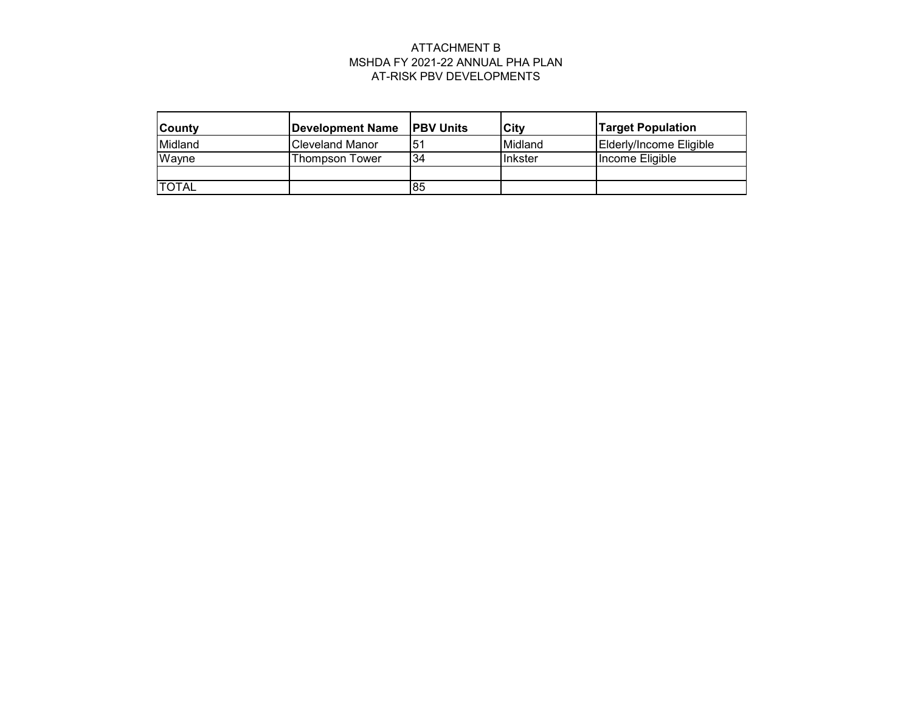# ATTACHMENT B MSHDA FY 2021-22 ANNUAL PHA PLAN AT-RISK PBV DEVELOPMENTS

| <b>County</b> | Development Name       | <b>IPBV Units</b> | City    | <b>Target Population</b> |
|---------------|------------------------|-------------------|---------|--------------------------|
| Midland       | <b>Cleveland Manor</b> | 51                | Midland | Elderly/Income Eligible  |
| Wayne         | Thompson Tower         | 34                | Inkster | Income Eligible          |
|               |                        |                   |         |                          |
| <b>ITOTAL</b> |                        | 85                |         |                          |